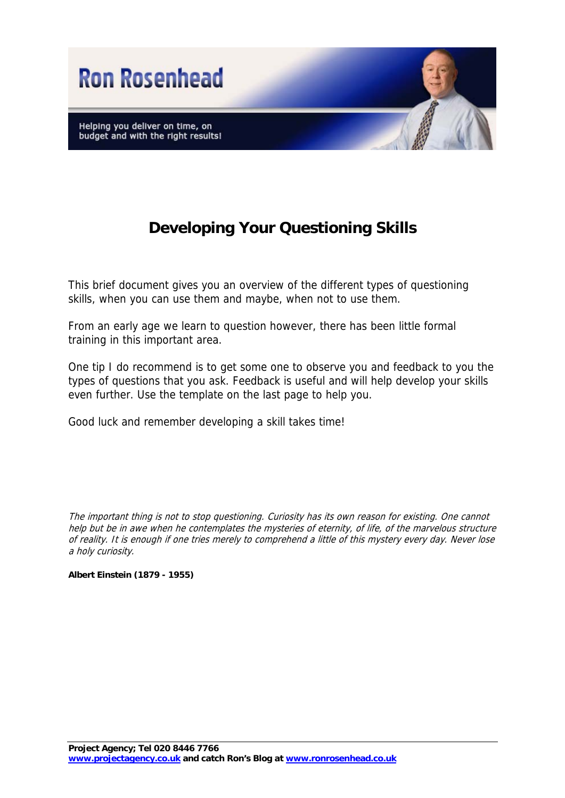

## **Developing Your Questioning Skills**

This brief document gives you an overview of the different types of questioning skills, when you can use them and maybe, when not to use them.

From an early age we learn to question however, there has been little formal training in this important area.

One tip I do recommend is to get some one to observe you and feedback to you the types of questions that you ask. Feedback is useful and will help develop your skills even further. Use the template on the last page to help you.

Good luck and remember developing a skill takes time!

The important thing is not to stop questioning. Curiosity has its own reason for existing. One cannot help but be in awe when he contemplates the mysteries of eternity, of life, of the marvelous structure of reality. It is enough if one tries merely to comprehend a little of this mystery every day. Never lose a holy curiosity.

**Albert Einstein (1879 - 1955)**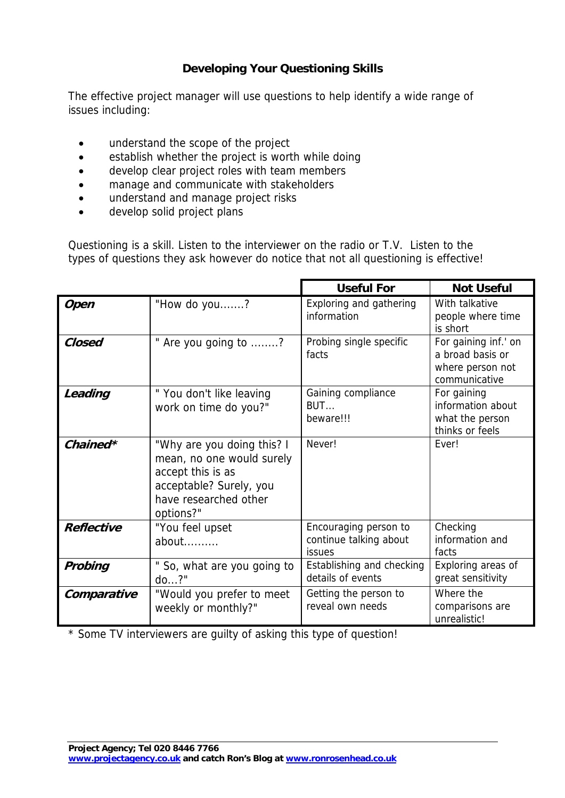## **Developing Your Questioning Skills**

The effective project manager will use questions to help identify a wide range of issues including:

- understand the scope of the project
- establish whether the project is worth while doing
- develop clear project roles with team members
- manage and communicate with stakeholders
- understand and manage project risks
- develop solid project plans

Questioning is a skill. Listen to the interviewer on the radio or T.V. Listen to the types of questions they ask however do notice that not all questioning is effective!

|                   |                                                                                                                                               | <b>Useful For</b>                                         | <b>Not Useful</b>                                                             |
|-------------------|-----------------------------------------------------------------------------------------------------------------------------------------------|-----------------------------------------------------------|-------------------------------------------------------------------------------|
| <b>Open</b>       | "How do you?                                                                                                                                  | Exploring and gathering<br>information                    | With talkative<br>people where time<br>is short                               |
| Closed            | " Are you going to ?                                                                                                                          | Probing single specific<br>facts                          | For gaining inf.' on<br>a broad basis or<br>where person not<br>communicative |
| Leading           | "You don't like leaving<br>work on time do you?"                                                                                              | Gaining compliance<br>BUT<br>beware!!!                    | For gaining<br>information about<br>what the person<br>thinks or feels        |
| Chained*          | "Why are you doing this? I<br>mean, no one would surely<br>accept this is as<br>acceptable? Surely, you<br>have researched other<br>options?" | Never!                                                    | <b>Fver!</b>                                                                  |
| <b>Reflective</b> | "You feel upset<br>about                                                                                                                      | Encouraging person to<br>continue talking about<br>issues | Checking<br>information and<br>facts                                          |
| Probing           | " So, what are you going to<br>$do?$ "                                                                                                        | Establishing and checking<br>details of events            | Exploring areas of<br>great sensitivity                                       |
| Comparative       | "Would you prefer to meet<br>weekly or monthly?"                                                                                              | Getting the person to<br>reveal own needs                 | Where the<br>comparisons are<br>unrealistic!                                  |

\* Some TV interviewers are guilty of asking this type of question!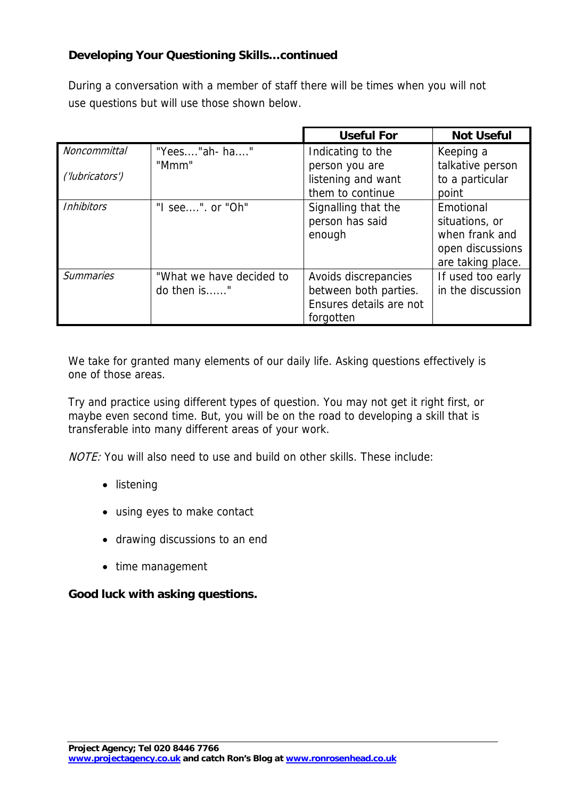## **Developing Your Questioning Skills…continued**

During a conversation with a member of staff there will be times when you will not use questions but will use those shown below.

|                     |                          | <b>Useful For</b>       | <b>Not Useful</b> |
|---------------------|--------------------------|-------------------------|-------------------|
| <b>Noncommittal</b> | "Yees"ah-ha"             | Indicating to the       | Keeping a         |
|                     | "Mmm"                    | person you are          | talkative person  |
| ('lubricators')     |                          | listening and want      | to a particular   |
|                     |                          | them to continue        | point             |
| <b>Inhibitors</b>   | "I see". or "Oh"         | Signalling that the     | Emotional         |
|                     |                          | person has said         | situations, or    |
|                     |                          | enough                  | when frank and    |
|                     |                          |                         | open discussions  |
|                     |                          |                         | are taking place. |
| <b>Summaries</b>    | "What we have decided to | Avoids discrepancies    | If used too early |
|                     | do then is"              | between both parties.   | in the discussion |
|                     |                          | Ensures details are not |                   |
|                     |                          | forgotten               |                   |

We take for granted many elements of our daily life. Asking questions effectively is one of those areas.

Try and practice using different types of question. You may not get it right first, or maybe even second time. But, you will be on the road to developing a skill that is transferable into many different areas of your work.

NOTE: You will also need to use and build on other skills. These include:

- listening
- using eyes to make contact
- drawing discussions to an end
- time management

## **Good luck with asking questions.**